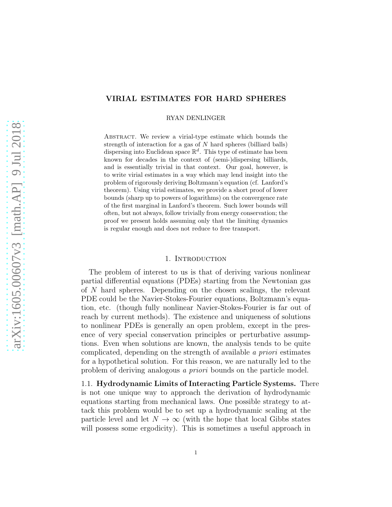# VIRIAL ESTIMATES FOR HARD SPHERES

RYAN DENLINGER

ABSTRACT. We review a virial-type estimate which bounds the strength of interaction for a gas of N hard spheres (billiard balls) dispersing into Euclidean space  $\mathbb{R}^d$ . This type of estimate has been known for decades in the context of (semi-)dispersing billiards, and is essentially trivial in that context. Our goal, however, is to write virial estimates in a way which may lend insight into the problem of rigorously deriving Boltzmann's equation (cf. Lanford's theorem). Using virial estimates, we provide a short proof of lower bounds (sharp up to powers of logarithms) on the convergence rate of the first marginal in Lanford's theorem. Such lower bounds will often, but not always, follow trivially from energy conservation; the proof we present holds assuming only that the limiting dynamics is regular enough and does not reduce to free transport.

## 1. INTRODUCTION

The problem of interest to us is that of deriving various nonlinear partial differential equations (PDEs) starting from the Newtonian gas of N hard spheres. Depending on the chosen scalings, the relevant PDE could be the Navier-Stokes-Fourier equations, Boltzmann's equation, etc. (though fully nonlinear Navier-Stokes-Fourier is far out of reach by current methods). The existence and uniqueness of solutions to nonlinear PDEs is generally an open problem, except in the presence of very special conservation principles or perturbative assumptions. Even when solutions are known, the analysis tends to be quite complicated, depending on the strength of available a priori estimates for a hypothetical solution. For this reason, we are naturally led to the problem of deriving analogous a priori bounds on the particle model.

1.1. Hydrodynamic Limits of Interacting Particle Systems. There is not one unique way to approach the derivation of hydrodynamic equations starting from mechanical laws. One possible strategy to attack this problem would be to set up a hydrodynamic scaling at the particle level and let  $N \to \infty$  (with the hope that local Gibbs states will possess some ergodicity). This is sometimes a useful approach in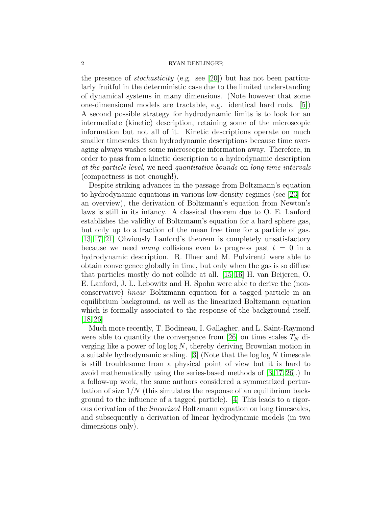the presence of *stochasticity* (e.g. see [\[20\]](#page-21-0)) but has not been particularly fruitful in the deterministic case due to the limited understanding of dynamical systems in many dimensions. (Note however that some one-dimensional models are tractable, e.g. identical hard rods. [\[5\]](#page-20-0)) A second possible strategy for hydrodynamic limits is to look for an intermediate (kinetic) description, retaining some of the microscopic information but not all of it. Kinetic descriptions operate on much smaller timescales than hydrodynamic descriptions because time averaging always washes some microscopic information away. Therefore, in order to pass from a kinetic description to a hydrodynamic description at the particle level, we need quantitative bounds on long time intervals (compactness is not enough!).

Despite striking advances in the passage from Boltzmann's equation to hydrodynamic equations in various low-density regimes (see [\[23\]](#page-21-1) for an overview), the derivation of Boltzmann's equation from Newton's laws is still in its infancy. A classical theorem due to O. E. Lanford establishes the validity of Boltzmann's equation for a hard sphere gas, but only up to a fraction of the mean free time for a particle of gas. [\[13,](#page-21-2) [17,](#page-21-3) [21\]](#page-21-4) Obviously Lanford's theorem is completely unsatisfactory because we need many collisions even to progress past  $t = 0$  in a hydrodynamic description. R. Illner and M. Pulvirenti were able to obtain convergence globally in time, but only when the gas is so diffuse that particles mostly do not collide at all. [\[15,](#page-21-5) [16\]](#page-21-6) H. van Beijeren, O. E. Lanford, J. L. Lebowitz and H. Spohn were able to derive the (nonconservative) linear Boltzmann equation for a tagged particle in an equilibrium background, as well as the linearized Boltzmann equation which is formally associated to the response of the background itself.  $[18, 26]$  $[18, 26]$ 

Much more recently, T. Bodineau, I. Gallagher, and L. Saint-Raymond were able to quantify the convergence from [\[26\]](#page-21-8) on time scales  $T_N$  diverging like a power of  $\log \log N$ , thereby deriving Brownian motion in a suitable hydrodynamic scaling. [\[3\]](#page-20-1) (Note that the  $\log \log N$  timescale is still troublesome from a physical point of view but it is hard to avoid mathematically using the series-based methods of [\[3,](#page-20-1) [17,](#page-21-3) [26\]](#page-21-8).) In a follow-up work, the same authors considered a symmetrized perturbation of size  $1/N$  (this simulates the response of an equilibrium background to the influence of a tagged particle). [\[4\]](#page-20-2) This leads to a rigorous derivation of the linearized Boltzmann equation on long timescales, and subsequently a derivation of linear hydrodynamic models (in two dimensions only).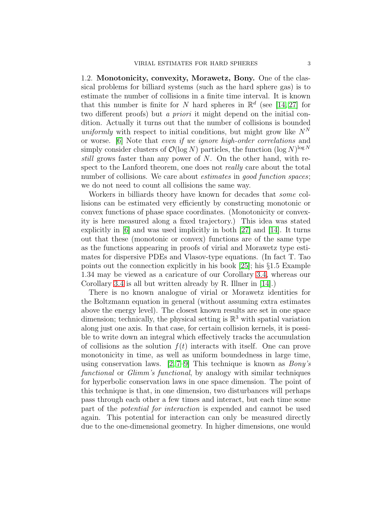1.2. Monotonicity, convexity, Morawetz, Bony. One of the classical problems for billiard systems (such as the hard sphere gas) is to estimate the number of collisions in a finite time interval. It is known that this number is finite for N hard spheres in  $\mathbb{R}^d$  (see [\[14,](#page-21-9) [27\]](#page-21-10) for two different proofs) but *a priori* it might depend on the initial condition. Actually it turns out that the number of collisions is bounded uniformly with respect to initial conditions, but might grow like  $N<sup>N</sup>$ or worse. [\[6\]](#page-20-3) Note that even if we ignore high-order correlations and simply consider clusters of  $\mathcal{O}(\log N)$  particles, the function  $(\log N)^{\log N}$ still grows faster than any power of N. On the other hand, with respect to the Lanford theorem, one does not *really* care about the total number of collisions. We care about *estimates* in good function spaces; we do not need to count all collisions the same way.

Workers in billiards theory have known for decades that some collisions can be estimated very efficiently by constructing monotonic or convex functions of phase space coordinates. (Monotonicity or convexity is here measured along a fixed trajectory.) This idea was stated explicitly in [\[6\]](#page-20-3) and was used implicitly in both [\[27\]](#page-21-10) and [\[14\]](#page-21-9). It turns out that these (monotonic or convex) functions are of the same type as the functions appearing in proofs of virial and Morawetz type estimates for dispersive PDEs and Vlasov-type equations. (In fact T. Tao points out the connection explicitly in his book [\[25\]](#page-21-11); his §1.5 Example 1.34 may be viewed as a caricature of our Corollary [3.4,](#page-9-0) whereas our Corollary [3.4](#page-9-0) is all but written already by R. Illner in [\[14\]](#page-21-9).)

There is no known analogue of virial or Morawetz identities for the Boltzmann equation in general (without assuming extra estimates above the energy level). The closest known results are set in one space dimension; technically, the physical setting is  $\mathbb{R}^3$  with spatial variation along just one axis. In that case, for certain collision kernels, it is possible to write down an integral which effectively tracks the accumulation of collisions as the solution  $f(t)$  interacts with itself. One can prove monotonicity in time, as well as uniform boundedness in large time, using conservation laws.  $[2, 7-9]$  $[2, 7-9]$  This technique is known as *Bony's* functional or Glimm's functional, by analogy with similar techniques for hyperbolic conservation laws in one space dimension. The point of this technique is that, in one dimension, two disturbances will perhaps pass through each other a few times and interact, but each time some part of the potential for interaction is expended and cannot be used again. This potential for interaction can only be measured directly due to the one-dimensional geometry. In higher dimensions, one would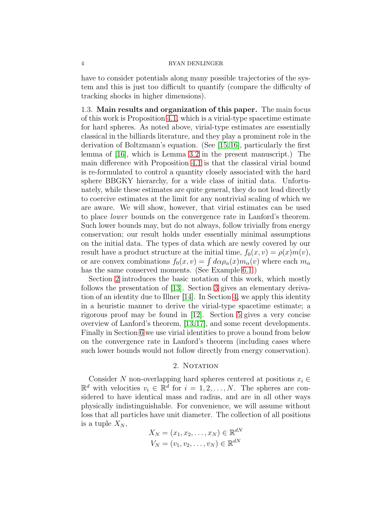have to consider potentials along many possible trajectories of the system and this is just too difficult to quantify (compare the difficulty of tracking shocks in higher dimensions).

1.3. Main results and organization of this paper. The main focus of this work is Proposition [4.1,](#page-12-0) which is a virial-type spacetime estimate for hard spheres. As noted above, virial-type estimates are essentially classical in the billiards literature, and they play a prominent role in the derivation of Boltzmann's equation. (See [\[15,](#page-21-5)[16\]](#page-21-6), particularly the first lemma of [\[16\]](#page-21-6), which is Lemma [3.2](#page-8-0) in the present manuscript.) The main difference with Proposition [4.1](#page-12-0) is that the classical virial bound is re-formulated to control a quantity closely associated with the hard sphere BBGKY hierarchy, for a wide class of initial data. Unfortunately, while these estimates are quite general, they do not lead directly to coercive estimates at the limit for any nontrivial scaling of which we are aware. We will show, however, that virial estimates can be used to place lower bounds on the convergence rate in Lanford's theorem. Such lower bounds may, but do not always, follow trivially from energy conservation; our result holds under essentially minimal assumptions on the initial data. The types of data which are newly covered by our result have a product structure at the initial time,  $f_0(x, v) = \rho(x)m(v)$ , or are convex combinations  $f_0(x, v) = \int d\alpha \rho_\alpha(x) m_\alpha(v)$  where each  $m_\alpha$ has the same conserved moments. (See Example [6.1.](#page-16-0))

Section [2](#page-3-0) introduces the basic notation of this work, which mostly follows the presentation of [\[13\]](#page-21-2). Section [3](#page-6-0) gives an elementary derivation of an identity due to Illner [\[14\]](#page-21-9). In Section [4,](#page-10-0) we apply this identity in a heuristic manner to derive the virial-type spacetime estimate; a rigorous proof may be found in [\[12\]](#page-21-12). Section [5](#page-13-0) gives a very concise overview of Lanford's theorem, [\[13,](#page-21-2)[17\]](#page-21-3), and some recent developments. Finally in Section [6](#page-15-0) we use virial identities to prove a bound from below on the convergence rate in Lanford's theorem (including cases where such lower bounds would not follow directly from energy conservation).

## 2. NOTATION

<span id="page-3-0"></span>Consider N non-overlapping hard spheres centered at positions  $x_i \in$  $\mathbb{R}^d$  with velocities  $v_i \in \mathbb{R}^d$  for  $i = 1, 2, ..., N$ . The spheres are considered to have identical mass and radius, and are in all other ways physically indistinguishable. For convenience, we will assume without loss that all particles have unit diameter. The collection of all positions is a tuple  $X_N$ ,

$$
X_N = (x_1, x_2, \dots, x_N) \in \mathbb{R}^{dN}
$$

$$
V_N = (v_1, v_2, \dots, v_N) \in \mathbb{R}^{dN}
$$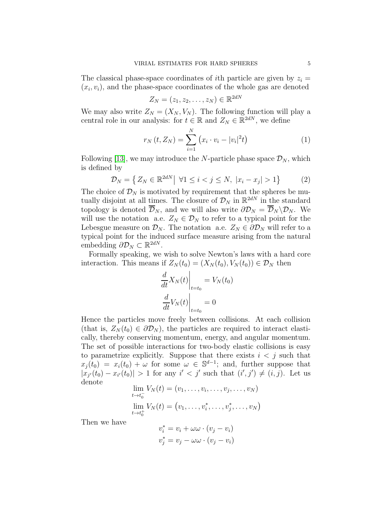The classical phase-space coordinates of *i*th particle are given by  $z_i =$  $(x_i, v_i)$ , and the phase-space coordinates of the whole gas are denoted

$$
Z_N = (z_1, z_2, \ldots, z_N) \in \mathbb{R}^{2dN}
$$

We may also write  $Z_N = (X_N, V_N)$ . The following function will play a central role in our analysis: for  $t \in \mathbb{R}$  and  $Z_N \in \mathbb{R}^{2dN}$ , we define

<span id="page-4-0"></span>
$$
r_N(t, Z_N) = \sum_{i=1}^N (x_i \cdot v_i - |v_i|^2 t)
$$
 (1)

Following [\[13\]](#page-21-2), we may introduce the N-particle phase space  $\mathcal{D}_N$ , which is defined by

$$
\mathcal{D}_N = \left\{ Z_N \in \mathbb{R}^{2dN} \middle| \forall 1 \le i < j \le N, \ |x_i - x_j| > 1 \right\} \tag{2}
$$

The choice of  $\mathcal{D}_N$  is motivated by requirement that the spheres be mutually disjoint at all times. The closure of  $\mathcal{D}_N$  in  $\mathbb{R}^{2dN}$  in the standard topology is denoted  $\overline{\mathcal{D}}_N$ , and we will also write  $\partial \mathcal{D}_N = \overline{\mathcal{D}}_N \backslash \mathcal{D}_N$ . We will use the notation a.e.  $Z_N \in \mathcal{D}_N$  to refer to a typical point for the Lebesgue measure on  $\mathcal{D}_N$ . The notation a.e.  $Z_N \in \partial \mathcal{D}_N$  will refer to a typical point for the induced surface measure arising from the natural embedding  $\partial \mathcal{D}_N \subset \mathbb{R}^{2dN}$ .

Formally speaking, we wish to solve Newton's laws with a hard core interaction. This means if  $Z_N(t_0) = (X_N(t_0), V_N(t_0)) \in \mathcal{D}_N$  then

$$
\frac{d}{dt}X_N(t)\Big|_{t=t_0} = V_N(t_0)
$$

$$
\frac{d}{dt}V_N(t)\Big|_{t=t_0} = 0
$$

Hence the particles move freely between collisions. At each collision (that is,  $Z_N(t_0) \in \partial \mathcal{D}_N$ ), the particles are required to interact elastically, thereby conserving momentum, energy, and angular momentum. The set of possible interactions for two-body elastic collisions is easy to parametrize explicitly. Suppose that there exists  $i < j$  such that  $x_j(t_0) = x_i(t_0) + \omega$  for some  $\omega \in \mathbb{S}^{d-1}$ ; and, further suppose that  $|x_{j'}(t_0)-x_{i'}(t_0)|>1$  for any  $i' < j'$  such that  $(i',j') \neq (i,j)$ . Let us denote

$$
\lim_{t \to t_0^-} V_N(t) = (v_1, \dots, v_i, \dots, v_j, \dots, v_N)
$$
  

$$
\lim_{t \to t_0^+} V_N(t) = (v_1, \dots, v_i^*, \dots, v_j^*, \dots, v_N)
$$

Then we have

$$
v_i^* = v_i + \omega \omega \cdot (v_j - v_i)
$$
  

$$
v_j^* = v_j - \omega \omega \cdot (v_j - v_i)
$$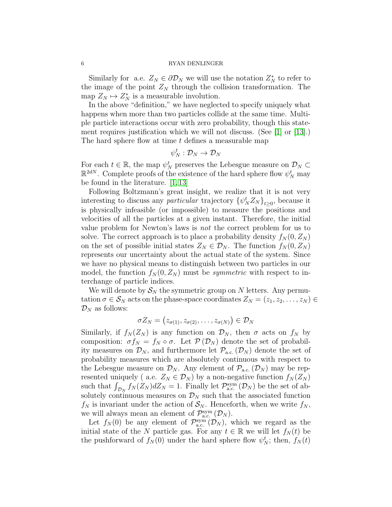Similarly for a.e.  $Z_N \in \partial \mathcal{D}_N$  we will use the notation  $Z_N^*$  to refer to the image of the point  $Z_N$  through the collision transformation. The map  $Z_N \mapsto Z_N^*$  is a measurable involution.

In the above "definition," we have neglected to specify uniquely what happens when more than two particles collide at the same time. Multiple particle interactions occur with zero probability, though this statement requires justification which we will not discuss. (See [\[1\]](#page-20-7) or [\[13\]](#page-21-2).) The hard sphere flow at time t defines a measurable map

$$
\psi_N^t:\mathcal{D}_N\to\mathcal{D}_N
$$

 $\overline{\mathcal{U}}$ 

For each  $t \in \mathbb{R}$ , the map  $\psi_N^t$  preserves the Lebesgue measure on  $\mathcal{D}_N \subset$  $\mathbb{R}^{2dN}$ . Complete proofs of the existence of the hard sphere flow  $\psi_N^t$  may be found in the literature. [\[1,](#page-20-7) [13\]](#page-21-2)

Following Boltzmann's great insight, we realize that it is not very interesting to discuss any *particular* trajectory  $\{\psi_N^t Z_N\}_{t\geq 0}$ , because it is physically infeasible (or impossible) to measure the positions and velocities of all the particles at a given instant. Therefore, the initial value problem for Newton's laws is not the correct problem for us to solve. The correct approach is to place a probability density  $f_N(0, Z_N)$ on the set of possible initial states  $Z_N \in \mathcal{D}_N$ . The function  $f_N(0, Z_N)$ represents our uncertainty about the actual state of the system. Since we have no physical means to distinguish between two particles in our model, the function  $f_N(0, Z_N)$  must be *symmetric* with respect to interchange of particle indices.

We will denote by  $S_N$  the symmetric group on N letters. Any permutation  $\sigma \in \mathcal{S}_N$  acts on the phase-space coordinates  $Z_N = (z_1, z_2, \ldots, z_N) \in$  $\mathcal{D}_N$  as follows:

$$
\sigma Z_N = (z_{\sigma(1)}, z_{\sigma(2)}, \ldots, z_{\sigma(N)}) \in \mathcal{D}_N
$$

Similarly, if  $f_N(Z_N)$  is any function on  $\mathcal{D}_N$ , then  $\sigma$  acts on  $f_N$  by composition:  $\sigma f_N = f_N \circ \sigma$ . Let  $\mathcal{P}(\mathcal{D}_N)$  denote the set of probability measures on  $\mathcal{D}_N$ , and furthermore let  $\mathcal{P}_{\text{a.c.}}(\mathcal{D}_N)$  denote the set of probability measures which are absolutely continuous with respect to the Lebesgue measure on  $\mathcal{D}_N$ . Any element of  $\mathcal{P}_{\text{a.c.}}(\mathcal{D}_N)$  may be represented uniquely ( a.e.  $Z_N \in \mathcal{D}_N$ ) by a non-negative function  $f_N(Z_N)$ such that  $\int_{\mathcal{D}_N} f_N(Z_N) dZ_N = 1$ . Finally let  $\mathcal{P}_{a.c.}^{sym}(\mathcal{D}_N)$  be the set of absolutely continuous measures on  $\mathcal{D}_N$  such that the associated function  $f_N$  is invariant under the action of  $S_N$ . Henceforth, when we write  $f_N$ , we will always mean an element of  $\mathcal{P}_{a.c.}^{sym}(\mathcal{D}_N)$ .

Let  $f_N(0)$  be any element of  $\mathcal{P}_{a.c.}^{sym}(\mathcal{D}_N)$ , which we regard as the initial state of the N particle gas. For any  $t \in \mathbb{R}$  we will let  $f_N(t)$  be the pushforward of  $f_N(0)$  under the hard sphere flow  $\psi_N^t$ ; then,  $f_N(t)$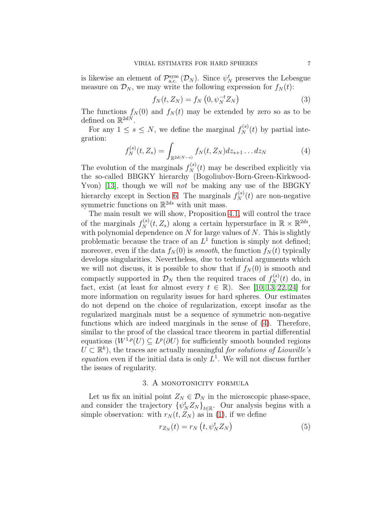is likewise an element of  $\mathcal{P}_{a.c.}^{sym}(\mathcal{D}_N)$ . Since  $\psi_N^t$  preserves the Lebesgue measure on  $\mathcal{D}_N$ , we may write the following expression for  $f_N(t)$ :

$$
f_N(t, Z_N) = f_N\left(0, \psi_N^{-t} Z_N\right) \tag{3}
$$

The functions  $f_N(0)$  and  $f_N(t)$  may be extended by zero so as to be defined on  $\mathbb{R}^{2dN}$ .

For any  $1 \leq s \leq N$ , we define the marginal  $f_N^{(s)}(t)$  by partial integration:

<span id="page-6-1"></span>
$$
f_N^{(s)}(t, Z_s) = \int_{\mathbb{R}^{2d(N-s)}} f_N(t, Z_N) dz_{s+1} \dots dz_N
$$
 (4)

The evolution of the marginals  $f_N^{(s)}(t)$  may be described explicitly via the so-called BBGKY hierarchy (Bogoliubov-Born-Green-Kirkwood-Yvon) [\[13\]](#page-21-2), though we will *not* be making any use of the BBGKY hierarchy except in Section [6.](#page-15-0) The marginals  $f_N^{(s)}(t)$  are non-negative symmetric functions on  $\mathbb{R}^{2ds}$  with unit mass.

The main result we will show, Proposition [4.1,](#page-12-0) will control the trace of the marginals  $f_N^{(s)}(t, Z_s)$  along a certain hypersurface in  $\mathbb{R} \times \mathbb{R}^{2ds}$ , with polynomial dependence on  $N$  for large values of  $N$ . This is slightly problematic because the trace of an  $L^1$  function is simply not defined; moreover, even if the data  $f_N(0)$  is *smooth*, the function  $f_N(t)$  typically develops singularities. Nevertheless, due to technical arguments which we will not discuss, it is possible to show that if  $f_N(0)$  is smooth and compactly supported in  $\mathcal{D}_N$  then the required traces of  $f_N^{(s)}$  $\mathcal{N}(t)$  do, in fact, exist (at least for almost every  $t \in \mathbb{R}$ ). See [\[10,](#page-20-8) [13,](#page-21-2) [22,](#page-21-13) [24\]](#page-21-14) for more information on regularity issues for hard spheres. Our estimates do not depend on the choice of regularization, except insofar as the regularized marginals must be a sequence of symmetric non-negative functions which are indeed marginals in the sense of [\(4\)](#page-6-1). Therefore, similar to the proof of the classical trace theorem in partial differential equations  $(W^{1,p}(U) \subseteq L^p(\partial U)$  for sufficiently smooth bounded regions  $U \subset \mathbb{R}^k$ , the traces are actually meaningful for solutions of Liouville's *equation* even if the initial data is only  $L^1$ . We will not discuss further the issues of regularity.

# 3. A MONOTONICITY FORMULA

<span id="page-6-0"></span>Let us fix an initial point  $Z_N \in \mathcal{D}_N$  in the microscopic phase-space, and consider the trajectory  $\{\psi_N^t Z_N\}_{t\in\mathbb{R}}$ . Our analysis begins with a simple observation: with  $r_N(t, Z_N)$  as in [\(1\)](#page-4-0), if we define

$$
r_{Z_N}(t) = r_N\left(t, \psi_N^t Z_N\right) \tag{5}
$$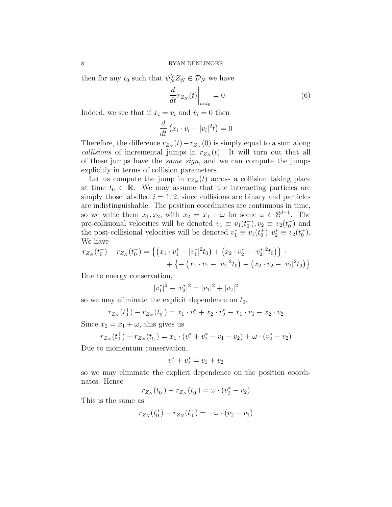then for any  $t_0$  such that  $\psi_N^{t_0} Z_N \in \mathcal{D}_N$  we have

$$
\left. \frac{d}{dt} r_{Z_N}(t) \right|_{t=t_0} = 0 \tag{6}
$$

Indeed, we see that if  $\dot{x}_i = v_i$  and  $\dot{v}_i = 0$  then

$$
\frac{d}{dt}\left(x_i \cdot v_i - |v_i|^2 t\right) = 0
$$

Therefore, the difference  $r_{Z_N}(t) - r_{Z_N}(0)$  is simply equal to a sum along collisions of incremental jumps in  $r_{Z_N}(t)$ . It will turn out that all of these jumps have the same sign, and we can compute the jumps explicitly in terms of collision parameters.

Let us compute the jump in  $r_{Z_N}(t)$  across a collision taking place at time  $t_0 \in \mathbb{R}$ . We may assume that the interacting particles are simply those labelled  $i = 1, 2$ , since collisions are binary and particles are indistinguishable. The position coordinates are continuous in time, so we write them  $x_1, x_2$ , with  $x_2 = x_1 + \omega$  for some  $\omega \in \mathbb{S}^{d-1}$ . The pre-collisional velocities will be denoted  $v_1 \equiv v_1(t_0^-), v_2 \equiv v_2(t_0^-)$  and the post-collisional velocities will be denoted  $v_1^* \equiv v_1(t_0^+), v_2^* \equiv v_2(t_0^+).$ We have

$$
r_{Z_N}(t_0^+) - r_{Z_N}(t_0^-) = \left\{ \left( x_1 \cdot v_1^* - |v_1^*|^2 t_0 \right) + \left( x_2 \cdot v_2^* - |v_2^*|^2 t_0 \right) \right\} + \\ + \left\{ - \left( x_1 \cdot v_1 - |v_1|^2 t_0 \right) - \left( x_2 \cdot v_2 - |v_2|^2 t_0 \right) \right\}
$$

Due to energy conservation,

$$
|v_1^*|^2 + |v_2^*|^2 = |v_1|^2 + |v_2|^2
$$

so we may eliminate the explicit dependence on  $t_0$ .

$$
r_{Z_N}(t_0^+) - r_{Z_N}(t_0^-) = x_1 \cdot v_1^* + x_2 \cdot v_2^* - x_1 \cdot v_1 - x_2 \cdot v_2
$$

Since  $x_2 = x_1 + \omega$ , this gives us

$$
r_{Z_N}(t_0^+) - r_{Z_N}(t_0^-) = x_1 \cdot (v_1^* + v_2^* - v_1 - v_2) + \omega \cdot (v_2^* - v_2)
$$

Due to momentum conservation,

$$
v_1^* + v_2^* = v_1 + v_2
$$

so we may eliminate the explicit dependence on the position coordinates. Hence

$$
r_{Z_N}(t_0^+) - r_{Z_N}(t_0^-) = \omega \cdot (v_2^* - v_2)
$$

This is the same as

$$
r_{Z_N}(t_0^+) - r_{Z_N}(t_0^-) = -\omega \cdot (v_2 - v_1)
$$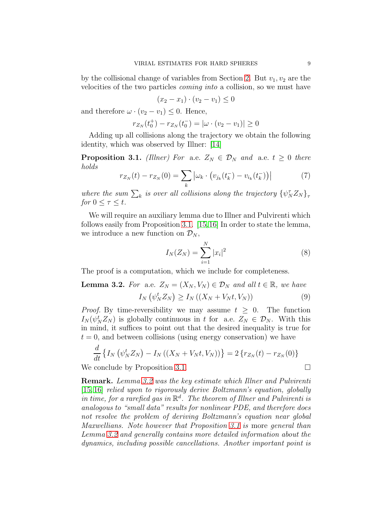by the collisional change of variables from Section [2.](#page-3-0) But  $v_1, v_2$  are the velocities of the two particles coming into a collision, so we must have

$$
(x_2 - x_1) \cdot (v_2 - v_1) \le 0
$$

and therefore  $\omega \cdot (v_2 - v_1) \leq 0$ . Hence,

$$
r_{Z_N}(t_0^+) - r_{Z_N}(t_0^-) = |\omega \cdot (v_2 - v_1)| \ge 0
$$

Adding up all collisions along the trajectory we obtain the following identity, which was observed by Illner: [\[14\]](#page-21-9)

<span id="page-8-1"></span>**Proposition 3.1.** (Illner) For a.e.  $Z_N \in \mathcal{D}_N$  and a.e.  $t \geq 0$  there holds

<span id="page-8-2"></span>
$$
r_{Z_N}(t) - r_{Z_N}(0) = \sum_{k} |\omega_k \cdot (v_{j_k}(t_k^-) - v_{i_k}(t_k^-))|
$$
 (7)

where the sum  $\sum_{k}$  is over all collisions along the trajectory  $\{\psi_{N}^{T}Z_{N}\}_{\tau}$ for  $0 \leq \tau \leq t$ .

We will require an auxiliary lemma due to Illner and Pulvirenti which follows easily from Proposition [3.1.](#page-8-1) [\[15,](#page-21-5)[16\]](#page-21-6) In order to state the lemma, we introduce a new function on  $\mathcal{D}_N$ ,

$$
I_N(Z_N) = \sum_{i=1}^N |x_i|^2
$$
 (8)

The proof is a computation, which we include for completeness.

<span id="page-8-0"></span>**Lemma 3.2.** For a.e. 
$$
Z_N = (X_N, V_N) \in \mathcal{D}_N
$$
 and all  $t \in \mathbb{R}$ , we have  
\n
$$
I_N(\psi_N^t Z_N) \ge I_N((X_N + V_N t, V_N))
$$
\n(9)

*Proof.* By time-reversibility we may assume  $t \geq 0$ . The function  $I_N(\psi_N^t Z_N)$  is globally continuous in t for a.e.  $Z_N \in \mathcal{D}_N$ . With this in mind, it suffices to point out that the desired inequality is true for  $t = 0$ , and between collisions (using energy conservation) we have

$$
\frac{d}{dt} \left\{ I_N \left( \psi_N^t Z_N \right) - I_N \left( (X_N + V_N t, V_N) \right) \right\} = 2 \left\{ r_{Z_N}(t) - r_{Z_N}(0) \right\}
$$

We conclude by Proposition [3.1.](#page-8-1)

Remark. Lemma [3.2](#page-8-0) was the key estimate which Illner and Pulvirenti [\[15,](#page-21-5) [16\]](#page-21-6) relied upon to rigorously derive Boltzmann's equation, globally in time, for a rarefied gas in  $\mathbb{R}^d$ . The theorem of Illner and Pulvirenti is analogous to "small data" results for nonlinear PDE, and therefore does not resolve the problem of deriving Boltzmann's equation near global Maxwellians. Note however that Proposition [3.1](#page-8-1) is more general than Lemma [3.2](#page-8-0) and generally contains more detailed information about the dynamics, including possible cancellations. Another important point is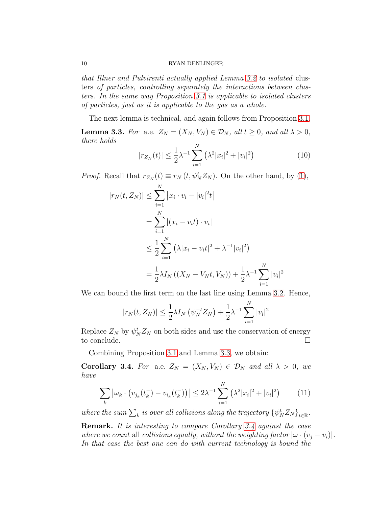that Illner and Pulvirenti actually applied Lemma [3.2](#page-8-0) to isolated clusters of particles, controlling separately the interactions between clusters. In the same way Proposition [3.1](#page-8-1) is applicable to isolated clusters of particles, just as it is applicable to the gas as a whole.

The next lemma is technical, and again follows from Proposition [3.1.](#page-8-1)

<span id="page-9-1"></span>**Lemma 3.3.** For a.e.  $Z_N = (X_N, V_N) \in \mathcal{D}_N$ , all  $t \geq 0$ , and all  $\lambda > 0$ , there holds

$$
|r_{Z_N}(t)| \leq \frac{1}{2}\lambda^{-1} \sum_{i=1}^N \left(\lambda^2 |x_i|^2 + |v_i|^2\right) \tag{10}
$$

*Proof.* Recall that  $r_{Z_N}(t) \equiv r_N(t, \psi_N^t Z_N)$ . On the other hand, by [\(1\)](#page-4-0),

$$
|r_N(t, Z_N)| \leq \sum_{i=1}^N |x_i \cdot v_i - |v_i|^2 t|
$$
  
= 
$$
\sum_{i=1}^N |(x_i - v_i t) \cdot v_i|
$$
  

$$
\leq \frac{1}{2} \sum_{i=1}^N (\lambda |x_i - v_i t|^2 + \lambda^{-1} |v_i|^2)
$$
  
= 
$$
\frac{1}{2} \lambda I_N ((X_N - V_N t, V_N)) + \frac{1}{2} \lambda^{-1} \sum_{i=1}^N |v_i|^2
$$

We can bound the first term on the last line using Lemma [3.2.](#page-8-0) Hence,

$$
|r_N(t, Z_N)| \leq \frac{1}{2}\lambda I_N(\psi_N^{-t}Z_N) + \frac{1}{2}\lambda^{-1}\sum_{i=1}^N |v_i|^2
$$

Replace  $Z_N$  by  $\psi_N^t Z_N$  on both sides and use the conservation of energy to conclude.

Combining Proposition [3.1](#page-8-1) and Lemma [3.3,](#page-9-1) we obtain:

<span id="page-9-0"></span>Corollary 3.4. For a.e.  $Z_N = (X_N, V_N) \in \mathcal{D}_N$  and all  $\lambda > 0$ , we have

<span id="page-9-2"></span>
$$
\sum_{k} |\omega_{k} \cdot (v_{j_{k}}(t_{k}^{-}) - v_{i_{k}}(t_{k}^{-}))| \leq 2\lambda^{-1} \sum_{i=1}^{N} (\lambda^{2} |x_{i}|^{2} + |v_{i}|^{2}) \qquad (11)
$$

where the sum  $\sum_k$  is over all collisions along the trajectory  $\{\psi^t_N Z_N\}_{t\in\mathbb{R}}$ .

Remark. It is interesting to compare Corollary [3.4](#page-9-0) against the case where we count all collisions equally, without the weighting factor  $|\omega \cdot (v_i - v_i)|$ . In that case the best one can do with current technology is bound the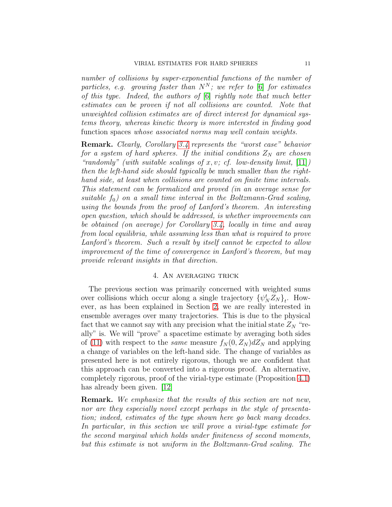number of collisions by super-exponential functions of the number of particles, e.g. growing faster than  $N^N$ ; we refer to [\[6\]](#page-20-3) for estimates of this type. Indeed, the authors of [\[6\]](#page-20-3) rightly note that much better estimates can be proven if not all collisions are counted. Note that unweighted collision estimates are of direct interest for dynamical systems theory, whereas kinetic theory is more interested in finding good function spaces whose associated norms may well contain weights.

Remark. Clearly, Corollary [3.4](#page-9-0) represents the "worst case" behavior for a system of hard spheres. If the initial conditions  $Z_N$  are chosen "randomly" (with suitable scalings of x, v; cf. low-density limit,  $[11]$ ) then the left-hand side should typically be much smaller than the righthand side, at least when collisions are counted on finite time intervals. This statement can be formalized and proved (in an average sense for suitable  $f_0$ ) on a small time interval in the Boltzmann-Grad scaling, using the bounds from the proof of Lanford's theorem. An interesting open question, which should be addressed, is whether improvements can be obtained (on average) for Corollary [3.4,](#page-9-0) locally in time and away from local equilibria, while assuming less than what is required to prove Lanford's theorem. Such a result by itself cannot be expected to allow improvement of the time of convergence in Lanford's theorem, but may provide relevant insights in that direction.

## 4. An averaging trick

<span id="page-10-0"></span>The previous section was primarily concerned with weighted sums over collisions which occur along a single trajectory  $\{\psi_N^t Z_N\}_t$ . However, as has been explained in Section [2,](#page-3-0) we are really interested in ensemble averages over many trajectories. This is due to the physical fact that we cannot say with any precision what the initial state  $Z_N$  "really" is. We will "prove" a spacetime estimate by averaging both sides of [\(11\)](#page-9-2) with respect to the *same* measure  $f_N(0, Z_N) dZ_N$  and applying a change of variables on the left-hand side. The change of variables as presented here is not entirely rigorous, though we are confident that this approach can be converted into a rigorous proof. An alternative, completely rigorous, proof of the virial-type estimate (Proposition [4.1\)](#page-12-0) has already been given. [\[12\]](#page-21-12)

Remark. We emphasize that the results of this section are not new, nor are they especially novel except perhaps in the style of presentation; indeed, estimates of the type shown here go back many decades. In particular, in this section we will prove a virial-type estimate for the second marginal which holds under finiteness of second moments, but this estimate is not uniform in the Boltzmann-Grad scaling. The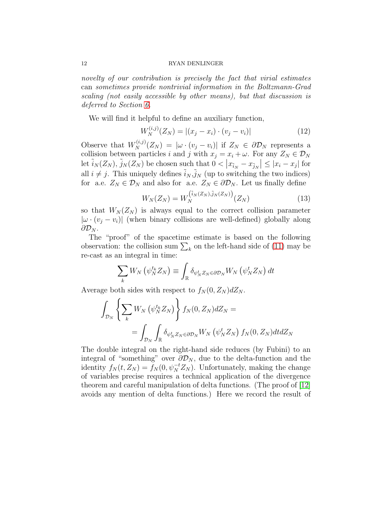novelty of our contribution is precisely the fact that virial estimates can sometimes provide nontrivial information in the Boltzmann-Grad scaling (not easily accessible by other means), but that discussion is deferred to Section [6.](#page-15-0)

We will find it helpful to define an auxiliary function,

$$
W_N^{(i,j)}(Z_N) = |(x_j - x_i) \cdot (v_j - v_i)| \tag{12}
$$

Observe that  $W_N^{(i,j)}(Z_N) = |\omega \cdot (v_j - v_i)|$  if  $Z_N \in \partial \mathcal{D}_N$  represents a collision between particles i and j with  $x_j = x_i + \omega$ . For any  $Z_N \in \mathcal{D}_N$ let  $\tilde{i}_N(Z_N)$ ,  $\tilde{j}_N(Z_N)$  be chosen such that  $0 < |x_{\tilde{i}_N} - x_{\tilde{j}_N}| \leq |x_i - x_j|$  for all  $i \neq j$ . This uniquely defines  $\tilde{i}_N, \tilde{j}_N$  (up to switching the two indices) for a.e.  $Z_N \in \mathcal{D}_N$  and also for a.e.  $Z_N \in \partial \mathcal{D}_N$ . Let us finally define

$$
W_N(Z_N) = W_N^{(\tilde{i}_N(Z_N), \tilde{j}_N(Z_N))} (Z_N)
$$
\n(13)

so that  $W_N(Z_N)$  is always equal to the correct collision parameter  $|\omega \cdot (v_j - v_i)|$  (when binary collisions are well-defined) globally along  $\partial \mathcal{D}_N$ .

The "proof" of the spacetime estimate is based on the following observation: the collision sum  $\sum_{k}$  on the left-hand side of [\(11\)](#page-9-2) may be re-cast as an integral in time:

$$
\sum_{k} W_{N} \left( \psi_{N}^{t_{k}} Z_{N} \right) \equiv \int_{\mathbb{R}} \delta_{\psi_{N}^{t} Z_{N} \in \partial \mathcal{D}_{N}} W_{N} \left( \psi_{N}^{t} Z_{N} \right) dt
$$

Average both sides with respect to  $f_N(0, Z_N) dZ_N$ .

$$
\int_{\mathcal{D}_N} \left\{ \sum_k W_N \left( \psi_N^{t_k} Z_N \right) \right\} f_N(0, Z_N) dZ_N =
$$
\n
$$
= \int_{\mathcal{D}_N} \int_{\mathbb{R}} \delta_{\psi_N^t Z_N \in \partial \mathcal{D}_N} W_N \left( \psi_N^t Z_N \right) f_N(0, Z_N) dt dZ_N
$$

The double integral on the right-hand side reduces (by Fubini) to an integral of "something" over  $\partial \mathcal{D}_N$ , due to the delta-function and the identity  $f_N(t, Z_N) = f_N(0, \psi_N^{-t} Z_N)$ . Unfortunately, making the change of variables precise requires a technical application of the divergence theorem and careful manipulation of delta functions. (The proof of [\[12\]](#page-21-12) avoids any mention of delta functions.) Here we record the result of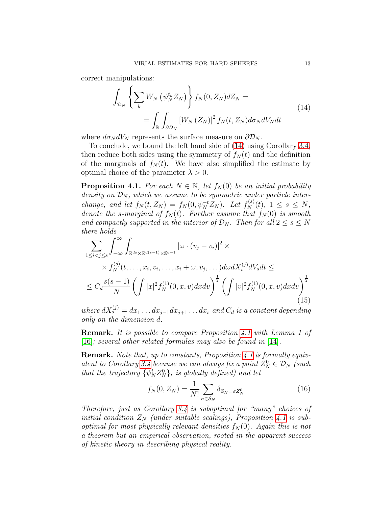correct manipulations:

<span id="page-12-1"></span>
$$
\int_{\mathcal{D}_N} \left\{ \sum_k W_N \left( \psi_N^{t_k} Z_N \right) \right\} f_N(0, Z_N) dZ_N =
$$
\n
$$
= \int_{\mathbb{R}} \int_{\partial \mathcal{D}_N} \left[ W_N \left( Z_N \right) \right]^2 f_N(t, Z_N) d\sigma_N dV_N dt \tag{14}
$$

where  $d\sigma_N dV_N$  represents the surface measure on  $\partial \mathcal{D}_N$ .

To conclude, we bound the left hand side of [\(14\)](#page-12-1) using Corollary [3.4,](#page-9-0) then reduce both sides using the symmetry of  $f_N(t)$  and the definition of the marginals of  $f_N(t)$ . We have also simplified the estimate by optimal choice of the parameter  $\lambda > 0$ .

<span id="page-12-0"></span>**Proposition 4.1.** For each  $N \in \mathbb{N}$ , let  $f_N(0)$  be an initial probability density on  $\mathcal{D}_N$ , which we assume to be symmetric under particle interchange, and let  $f_N(t, Z_N) = f_N(0, \psi_N^{-t} Z_N)$ . Let  $f_N^{(s)}(t), 1 \leq s \leq N$ , denote the s-marginal of  $f_N(t)$ . Further assume that  $f_N(0)$  is smooth and compactly supported in the interior of  $\mathcal{D}_N$ . Then for all  $2 \leq s \leq N$ there holds

<span id="page-12-2"></span>
$$
\sum_{1 \leq i < j \leq s} \int_{-\infty}^{\infty} \int_{\mathbb{R}^{ds} \times \mathbb{R}^{d(s-1)} \times \mathbb{S}^{d-1}} |\omega \cdot (v_j - v_i)|^2 \times
$$
\n
$$
\times f_N^{(s)}(t, \dots, x_i, v_i, \dots, x_i + \omega, v_j, \dots) d\omega dX_s^{(j)} dV_s dt \le
$$
\n
$$
\leq C_d \frac{s(s-1)}{N} \left( \int |x|^2 f_N^{(1)}(0, x, v) dx dv \right)^{\frac{1}{2}} \left( \int |v|^2 f_N^{(1)}(0, x, v) dx dv \right)^{\frac{1}{2}}
$$
\n(15)

where  $dX_s^{(j)} = dx_1 \dots dx_{j-1} dx_{j+1} \dots dx_s$  and  $C_d$  is a constant depending only on the dimension d.

Remark. It is possible to compare Proposition [4.1](#page-12-0) with Lemma 1 of [\[16\]](#page-21-6); several other related formulas may also be found in [\[14\]](#page-21-9).

Remark. Note that, up to constants, Proposition [4.1](#page-12-0) is formally equiv-alent to Corollary [3.4](#page-9-0) because we can always fix a point  $Z_N^0 \in \mathcal{D}_N$  (such that the trajectory  $\{\psi_N^t Z_N^0\}_t$  is globally defined) and let

$$
f_N(0, Z_N) = \frac{1}{N!} \sum_{\sigma \in \mathcal{S}_N} \delta_{Z_N = \sigma Z_N^0}
$$
 (16)

Therefore, just as Corollary [3.4](#page-9-0) is suboptimal for "many" choices of initial condition  $Z_N$  (under suitable scalings), Proposition [4.1](#page-12-0) is suboptimal for most physically relevant densities  $f_N(0)$ . Again this is not a theorem but an empirical observation, rooted in the apparent success of kinetic theory in describing physical reality.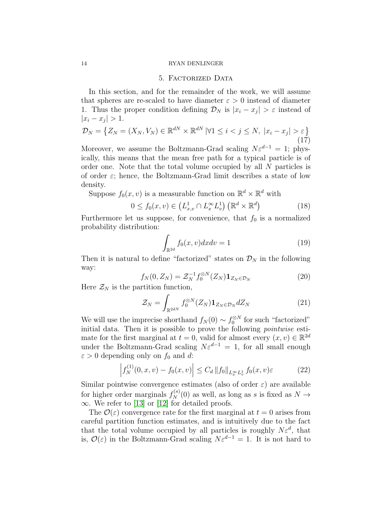## 5. Factorized Data

<span id="page-13-0"></span>In this section, and for the remainder of the work, we will assume that spheres are re-scaled to have diameter  $\varepsilon > 0$  instead of diameter 1. Thus the proper condition defining  $\mathcal{D}_N$  is  $|x_i - x_j| > \varepsilon$  instead of  $|x_i - x_j| > 1.$ 

$$
\mathcal{D}_N = \left\{ Z_N = (X_N, V_N) \in \mathbb{R}^{dN} \times \mathbb{R}^{dN} \, | \forall 1 \le i < j \le N, \ |x_i - x_j| > \varepsilon \right\} \tag{17}
$$

Moreover, we assume the Boltzmann-Grad scaling  $N\varepsilon^{d-1} = 1$ ; physically, this means that the mean free path for a typical particle is of order one. Note that the total volume occupied by all N particles is of order  $\varepsilon$ ; hence, the Boltzmann-Grad limit describes a state of low density.

Suppose  $f_0(x, v)$  is a measurable function on  $\mathbb{R}^d \times \mathbb{R}^d$  with

$$
0 \le f_0(x, v) \in \left( L^1_{x,v} \cap L^\infty_x L^1_v \right) \left( \mathbb{R}^d \times \mathbb{R}^d \right) \tag{18}
$$

Furthermore let us suppose, for convenience, that  $f_0$  is a normalized probability distribution:

$$
\int_{\mathbb{R}^{2d}} f_0(x, v) dx dv = 1 \tag{19}
$$

Then it is natural to define "factorized" states on  $\mathcal{D}_N$  in the following way:

$$
f_N(0, Z_N) = \mathcal{Z}_N^{-1} f_0^{\otimes N}(Z_N) \mathbf{1}_{Z_N \in \mathcal{D}_N}
$$
(20)

Here  $\mathcal{Z}_N$  is the partition function,

$$
\mathcal{Z}_N = \int_{\mathbb{R}^{2dN}} f_0^{\otimes N}(Z_N) \mathbf{1}_{Z_N \in \mathcal{D}_N} dZ_N \tag{21}
$$

We will use the imprecise shorthand  $f_N(0) \sim f_0^{\otimes N}$  for such "factorized" initial data. Then it is possible to prove the following pointwise estimate for the first marginal at  $t = 0$ , valid for almost every  $(x, v) \in \mathbb{R}^{2d}$ under the Boltzmann-Grad scaling  $N\varepsilon^{d-1} = 1$ , for all small enough  $\varepsilon > 0$  depending only on  $f_0$  and d:

$$
\left| f_N^{(1)}(0, x, v) - f_0(x, v) \right| \le C_d \| f_0 \|_{L_x^{\infty} L_v^1} f_0(x, v) \varepsilon \tag{22}
$$

Similar pointwise convergence estimates (also of order  $\varepsilon$ ) are available for higher order marginals  $f_N^{(s)}(0)$  as well, as long as s is fixed as  $N \to$  $\infty$ . We refer to [\[13\]](#page-21-2) or [\[12\]](#page-21-12) for detailed proofs.

The  $\mathcal{O}(\varepsilon)$  convergence rate for the first marginal at  $t = 0$  arises from careful partition function estimates, and is intuitively due to the fact that the total volume occupied by all particles is roughly  $N\varepsilon^d$ , that is,  $\mathcal{O}(\varepsilon)$  in the Boltzmann-Grad scaling  $N\varepsilon^{d-1} = 1$ . It is not hard to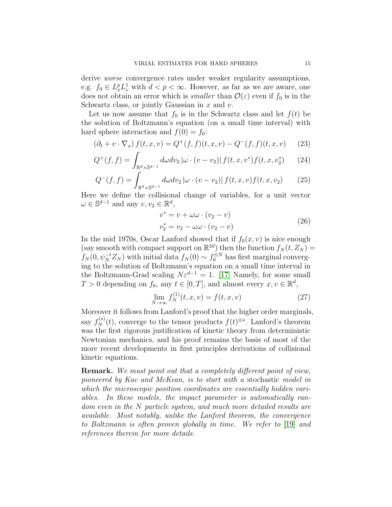derive *worse* convergence rates under weaker regularity assumptions, e.g.  $f_0 \in L_x^p L_v^1$  with  $d < p < \infty$ . However, as far as we are aware, one does not obtain an error which is *smaller* than  $\mathcal{O}(\varepsilon)$  even if  $f_0$  is in the Schwartz class, or jointly Gaussian in  $x$  and  $v$ .

Let us now assume that  $f_0$  is in the Schwartz class and let  $f(t)$  be the solution of Boltzmann's equation (on a small time interval) with hard sphere interaction and  $f(0) = f_0$ :

$$
(\partial_t + v \cdot \nabla_x) f(t, x, v) = Q^+(f, f)(t, x, v) - Q^-(f, f)(t, x, v)
$$
 (23)

$$
Q^{+}(f,f) = \int_{\mathbb{R}^{d} \times \mathbb{S}^{d-1}} d\omega dv_2 \left| \omega \cdot (v - v_2) \right| f(t, x, v^*) f(t, x, v_2^*) \tag{24}
$$

$$
Q^{-}(f,f) = \int_{\mathbb{R}^{d} \times \mathbb{S}^{d-1}} d\omega dv_2 \left| \omega \cdot (v - v_2) \right| f(t, x, v) f(t, x, v_2)
$$
(25)

Here we define the collisional change of variables, for a unit vector  $\omega \in \mathbb{S}^{d-1}$  and any  $v, v_2 \in \mathbb{R}^d$ ,

$$
v^* = v + \omega \omega \cdot (v_2 - v)
$$
  
\n
$$
v_2^* = v_2 - \omega \omega \cdot (v_2 - v)
$$
\n(26)

In the mid 1970s, Oscar Lanford showed that if  $f_0(x, v)$  is nice enough (say smooth with compact support on  $\mathbb{R}^{2d}$ ) then the function  $f_N(t, Z_N)$  =  $f_N(0, \psi_N^{-t} Z_N)$  with initial data  $f_N(0) \sim f_0^{\otimes N}$  has first marginal converging to the solution of Boltzmann's equation on a small time interval in the Boltzmann-Grad scaling  $N\varepsilon^{d-1} = 1$ . [\[17\]](#page-21-3) Namely, for some small  $T > 0$  depending on  $f_0$ , any  $t \in [0, T]$ , and almost every  $x, v \in \mathbb{R}^d$ ,

$$
\lim_{N \to \infty} f_N^{(1)}(t, x, v) = f(t, x, v)
$$
\n(27)

Moreover it follows from Lanford's proof that the higher order marginals, say  $f_N^{(s)}(t)$ , converge to the tensor products  $f(t)^{\otimes s}$ . Lanford's theorem was the first rigorous justification of kinetic theory from deterministic Newtonian mechanics, and his proof remains the basis of most of the more recent developments in first principles derivations of collisional kinetic equations.

Remark. We must point out that a completely different point of view, pioneered by Kac and McKean, is to start with a stochastic model in which the microscopic position coordinates are essentially hidden variables. In these models, the impact parameter is automatically random even in the N particle system, and much more detailed results are available. Most notably, unlike the Lanford theorem, the convergence to Boltzmann is often proven globally in time. We refer to [\[19\]](#page-21-16) and references therein for more details.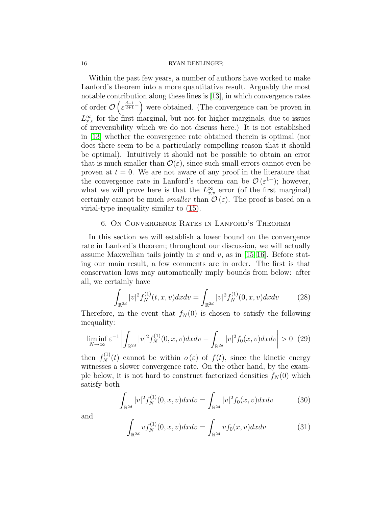Within the past few years, a number of authors have worked to make Lanford's theorem into a more quantitative result. Arguably the most notable contribution along these lines is [\[13\]](#page-21-2), in which convergence rates of order  $\mathcal{O}\left(\varepsilon^{\frac{d-1}{d+1}-}\right)$  were obtained. (The convergence can be proven in  $L_{x,v}^{\infty}$  for the first marginal, but not for higher marginals, due to issues of irreversibility which we do not discuss here.) It is not established in [\[13\]](#page-21-2) whether the convergence rate obtained therein is optimal (nor does there seem to be a particularly compelling reason that it should be optimal). Intuitively it should not be possible to obtain an error that is much smaller than  $\mathcal{O}(\varepsilon)$ , since such small errors cannot even be proven at  $t = 0$ . We are not aware of any proof in the literature that the convergence rate in Lanford's theorem can be  $\mathcal{O}(\varepsilon^{1-})$ ; however, what we will prove here is that the  $L_{x,v}^{\infty}$  error (of the first marginal) certainly cannot be much *smaller* than  $\mathcal{O}(\varepsilon)$ . The proof is based on a virial-type inequality similar to [\(15\)](#page-12-2).

## <span id="page-15-0"></span>6. On Convergence Rates in Lanford's Theorem

In this section we will establish a lower bound on the convergence rate in Lanford's theorem; throughout our discussion, we will actually assume Maxwellian tails jointly in x and v, as in [\[15,](#page-21-5) [16\]](#page-21-6). Before stating our main result, a few comments are in order. The first is that conservation laws may automatically imply bounds from below: after all, we certainly have

$$
\int_{\mathbb{R}^{2d}} |v|^2 f_N^{(1)}(t, x, v) dx dv = \int_{\mathbb{R}^{2d}} |v|^2 f_N^{(1)}(0, x, v) dx dv \qquad (28)
$$

Therefore, in the event that  $f_N(0)$  is chosen to satisfy the following inequality:

$$
\liminf_{N \to \infty} \varepsilon^{-1} \left| \int_{\mathbb{R}^{2d}} |v|^2 f_N^{(1)}(0, x, v) dx dv - \int_{\mathbb{R}^{2d}} |v|^2 f_0(x, v) dx dv \right| > 0 \tag{29}
$$

then  $f_N^{(1)}(t)$  cannot be within  $o(\varepsilon)$  of  $f(t)$ , since the kinetic energy witnesses a slower convergence rate. On the other hand, by the example below, it is not hard to construct factorized densities  $f_N(0)$  which satisfy both

<span id="page-15-1"></span>
$$
\int_{\mathbb{R}^{2d}} |v|^2 f_N^{(1)}(0, x, v) dx dv = \int_{\mathbb{R}^{2d}} |v|^2 f_0(x, v) dx dv \tag{30}
$$

and

<span id="page-15-2"></span>
$$
\int_{\mathbb{R}^{2d}} v f_N^{(1)}(0, x, v) dx dv = \int_{\mathbb{R}^{2d}} v f_0(x, v) dx dv \tag{31}
$$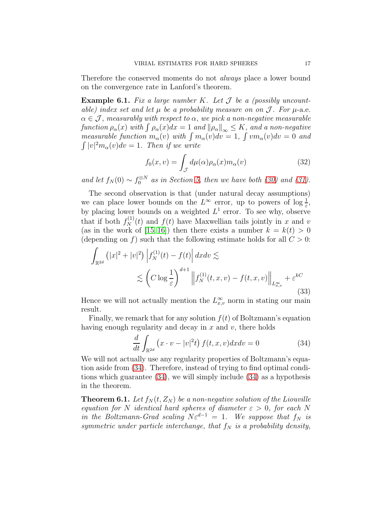Therefore the conserved moments do not always place a lower bound on the convergence rate in Lanford's theorem.

<span id="page-16-0"></span>**Example 6.1.** Fix a large number K. Let  $\mathcal J$  be a (possibly uncountable) index set and let  $\mu$  be a probability measure on on  $\mathcal J$ . For  $\mu$ -a.e.  $\alpha \in \mathcal{J}$ , measurably with respect to  $\alpha$ , we pick a non-negative measurable function  $\rho_\alpha(x)$  with  $\int \rho_\alpha(x)dx = 1$  and  $\|\rho_\alpha\|_\infty \le K$ , and a non-negative measurable function  $m_{\alpha}(v)$  with  $\int m_{\alpha}(v)dv = 1$ ,  $\int v m_{\alpha}(v)dv = 0$  and  $\int |v|^2 m_\alpha(v) dv = 1$ . Then if we write

$$
f_0(x,v) = \int_{\mathcal{J}} d\mu(\alpha)\rho_\alpha(x)m_\alpha(v)
$$
 (32)

and let  $f_N(0) \sim f_0^{\otimes N}$  as in Section [5,](#page-13-0) then we have both [\(30\)](#page-15-1) and [\(31\)](#page-15-2).

The second observation is that (under natural decay assumptions) we can place lower bounds on the  $L^{\infty}$  error, up to powers of  $\log \frac{1}{\varepsilon}$ , by placing lower bounds on a weighted  $L^1$  error. To see why, observe that if both  $f_N^{(1)}(t)$  and  $f(t)$  have Maxwellian tails jointly in x and v (as in the work of [\[15,](#page-21-5) [16\]](#page-21-6)) then there exists a number  $k = k(t) > 0$ (depending on f) such that the following estimate holds for all  $C > 0$ :

$$
\int_{\mathbb{R}^{2d}} (|x|^2 + |v|^2) \left| f_N^{(1)}(t) - f(t) \right| dx dv \lesssim
$$
\n
$$
\lesssim \left( C \log \frac{1}{\varepsilon} \right)^{d+1} \left\| f_N^{(1)}(t, x, v) - f(t, x, v) \right\|_{L^{\infty}_{x, v}} + \varepsilon^{kC}
$$
\n(33)

Hence we will not actually mention the  $L^{\infty}_{x,v}$  norm in stating our main result.

Finally, we remark that for any solution  $f(t)$  of Boltzmann's equation having enough regularity and decay in  $x$  and  $v$ , there holds

<span id="page-16-1"></span>
$$
\frac{d}{dt} \int_{\mathbb{R}^{2d}} \left( x \cdot v - |v|^2 t \right) f(t, x, v) dx dv = 0 \tag{34}
$$

We will not actually use any regularity properties of Boltzmann's equation aside from [\(34\)](#page-16-1). Therefore, instead of trying to find optimal conditions which guarantee [\(34\)](#page-16-1), we will simply include [\(34\)](#page-16-1) as a hypothesis in the theorem.

<span id="page-16-2"></span>**Theorem 6.1.** Let  $f_N(t, Z_N)$  be a non-negative solution of the Liouville equation for N identical hard spheres of diameter  $\varepsilon > 0$ , for each N in the Boltzmann-Grad scaling  $N\varepsilon^{d-1} = 1$ . We suppose that  $f_N$  is symmetric under particle interchange, that  $f_N$  is a probability density,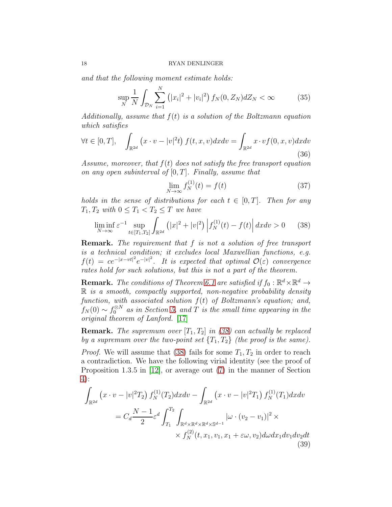and that the following moment estimate holds:

$$
\sup_{N} \frac{1}{N} \int_{\mathcal{D}_N} \sum_{i=1}^{N} \left( |x_i|^2 + |v_i|^2 \right) f_N(0, Z_N) dZ_N < \infty \tag{35}
$$

Additionally, assume that  $f(t)$  is a solution of the Boltzmann equation which satisfies

<span id="page-17-1"></span>
$$
\forall t \in [0, T], \quad \int_{\mathbb{R}^{2d}} \left( x \cdot v - |v|^2 t \right) f(t, x, v) dx dv = \int_{\mathbb{R}^{2d}} x \cdot v f(0, x, v) dx dv
$$
\n(36)

Assume, moreover, that  $f(t)$  does not satisfy the free transport equation on any open subinterval of  $[0, T]$ . Finally, assume that

<span id="page-17-2"></span>
$$
\lim_{N \to \infty} f_N^{(1)}(t) = f(t) \tag{37}
$$

holds in the sense of distributions for each  $t \in [0, T]$ . Then for any  $T_1, T_2$  with  $0 \leq T_1 < T_2 \leq T$  we have

<span id="page-17-0"></span>
$$
\liminf_{N \to \infty} \varepsilon^{-1} \sup_{t \in [T_1, T_2]} \int_{\mathbb{R}^{2d}} \left( |x|^2 + |v|^2 \right) \left| f_N^{(1)}(t) - f(t) \right| dx dv > 0 \tag{38}
$$

Remark. The requirement that f is not a solution of free transport is a technical condition; it excludes local Maxwellian functions, e.g.  $f(t) = ce^{-|x-vt|^2}e^{-|v|^2}$ . It is expected that optimal  $\mathcal{O}(\varepsilon)$  convergence rates hold for such solutions, but this is not a part of the theorem.

**Remark.** The conditions of Theorem [6.1](#page-16-2) are satisfied if  $f_0 : \mathbb{R}^d \times \mathbb{R}^d \to$  $\mathbb R$  is a smooth, compactly supported, non-negative probability density function, with associated solution  $f(t)$  of Boltzmann's equation; and,  $f_N(0) \sim f_0^{\otimes N}$  as in Section [5,](#page-13-0) and T is the small time appearing in the original theorem of Lanford. [\[17\]](#page-21-3)

**Remark.** The supremum over  $[T_1, T_2]$  in [\(38\)](#page-17-0) can actually be replaced by a supremum over the two-point set  $\{T_1, T_2\}$  (the proof is the same).

*Proof.* We will assume that [\(38\)](#page-17-0) fails for some  $T_1, T_2$  in order to reach a contradiction. We have the following virial identity (see the proof of Proposition 1.3.5 in [\[12\]](#page-21-12), or average out [\(7\)](#page-8-2) in the manner of Section [4\)](#page-10-0):

$$
\int_{\mathbb{R}^{2d}} \left( x \cdot v - |v|^2 T_2 \right) f_N^{(1)}(T_2) dx dv - \int_{\mathbb{R}^{2d}} \left( x \cdot v - |v|^2 T_1 \right) f_N^{(1)}(T_1) dx dv
$$
\n
$$
= C_d \frac{N-1}{2} \varepsilon^d \int_{T_1}^{T_2} \int_{\mathbb{R}^d \times \mathbb{R}^d \times \mathbb{R}^d \times \mathbb{S}^{d-1}} |\omega \cdot (v_2 - v_1)|^2 \times
$$
\n
$$
\times f_N^{(2)}(t, x_1, v_1, x_1 + \varepsilon \omega, v_2) d\omega dx_1 dv_1 dv_2 dt
$$
\n(39)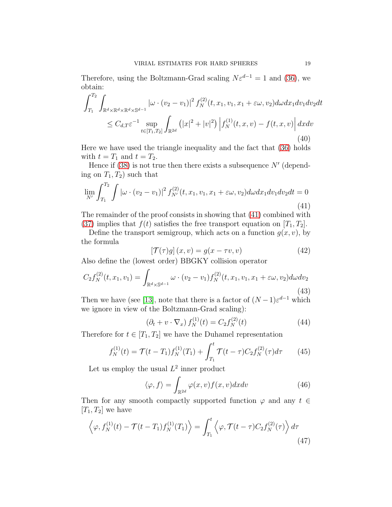Therefore, using the Boltzmann-Grad scaling  $N\varepsilon^{d-1} = 1$  and [\(36\)](#page-17-1), we obtain:

$$
\int_{T_1}^{T_2} \int_{\mathbb{R}^d \times \mathbb{R}^d \times \mathbb{R}^d \times \mathbb{S}^{d-1}} |\omega \cdot (v_2 - v_1)|^2 f_N^{(2)}(t, x_1, v_1, x_1 + \varepsilon \omega, v_2) d\omega dx_1 dv_1 dv_2 dt
$$
  

$$
\leq C_{d,T} \varepsilon^{-1} \sup_{t \in [T_1, T_2]} \int_{\mathbb{R}^{2d}} (|x|^2 + |v|^2) |f_N^{(1)}(t, x, v) - f(t, x, v)| dx dv
$$
  
(40)

Here we have used the triangle inequality and the fact that [\(36\)](#page-17-1) holds with  $t = T_1$  and  $t = T_2$ .

Hence if  $(38)$  is not true then there exists a subsequence N' (depending on  $T_1, T_2$ ) such that

<span id="page-18-0"></span>
$$
\lim_{N'} \int_{T_1}^{T_2} \int |\omega \cdot (v_2 - v_1)|^2 f_{N'}^{(2)}(t, x_1, v_1, x_1 + \varepsilon \omega, v_2) d\omega dx_1 dv_1 dv_2 dt = 0
$$
\n(41)

The remainder of the proof consists in showing that [\(41\)](#page-18-0) combined with [\(37\)](#page-17-2) implies that  $f(t)$  satisfies the free transport equation on  $[T_1, T_2]$ .

Define the transport semigroup, which acts on a function  $g(x, v)$ , by the formula

$$
\left[\mathcal{T}(\tau)g\right](x,v) = g(x - \tau v, v)
$$
\n(42)

Also define the (lowest order) BBGKY collision operator

$$
C_2 f_N^{(2)}(t, x_1, v_1) = \int_{\mathbb{R}^d \times \mathbb{S}^{d-1}} \omega \cdot (v_2 - v_1) f_N^{(2)}(t, x_1, v_1, x_1 + \varepsilon \omega, v_2) d\omega dv_2
$$
\n(43)

Then we have (see [\[13\]](#page-21-2), note that there is a factor of  $(N-1)\varepsilon^{d-1}$  which we ignore in view of the Boltzmann-Grad scaling):

$$
(\partial_t + v \cdot \nabla_x) f_N^{(1)}(t) = C_2 f_N^{(2)}(t)
$$
 (44)

Therefore for  $t \in [T_1, T_2]$  we have the Duhamel representation

$$
f_N^{(1)}(t) = \mathcal{T}(t - T_1) f_N^{(1)}(T_1) + \int_{T_1}^t \mathcal{T}(t - \tau) C_2 f_N^{(2)}(\tau) d\tau \qquad (45)
$$

Let us employ the usual  $L^2$  inner product

$$
\langle \varphi, f \rangle = \int_{\mathbb{R}^{2d}} \varphi(x, v) f(x, v) dx dv \tag{46}
$$

Then for any smooth compactly supported function  $\varphi$  and any  $t \in$  $[T_1, T_2]$  we have

$$
\left\langle \varphi, f_N^{(1)}(t) - \mathcal{T}(t - T_1) f_N^{(1)}(T_1) \right\rangle = \int_{T_1}^t \left\langle \varphi, \mathcal{T}(t - \tau) C_2 f_N^{(2)}(\tau) \right\rangle d\tau
$$
\n(47)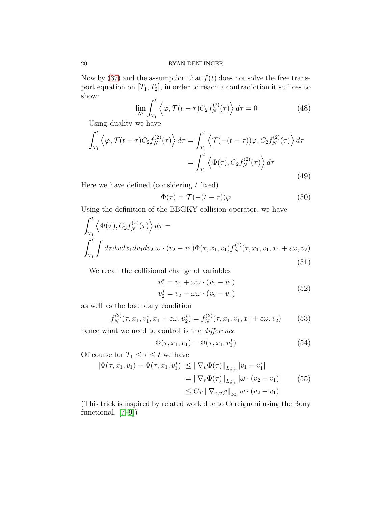Now by [\(37\)](#page-17-2) and the assumption that  $f(t)$  does not solve the free transport equation on  $[T_1, T_2]$ , in order to reach a contradiction it suffices to show:

$$
\lim_{N'} \int_{T_1}^t \left\langle \varphi, \mathcal{T}(t-\tau) C_2 f_N^{(2)}(\tau) \right\rangle d\tau = 0 \tag{48}
$$

Using duality we have

$$
\int_{T_1}^t \left\langle \varphi, \mathcal{T}(t-\tau) C_2 f_N^{(2)}(\tau) \right\rangle d\tau = \int_{T_1}^t \left\langle \mathcal{T}(-(t-\tau))\varphi, C_2 f_N^{(2)}(\tau) \right\rangle d\tau
$$

$$
= \int_{T_1}^t \left\langle \Phi(\tau), C_2 f_N^{(2)}(\tau) \right\rangle d\tau
$$
(49)

Here we have defined (considering  $t$  fixed)

$$
\Phi(\tau) = \mathcal{T}(-(t-\tau))\varphi \tag{50}
$$

Using the definition of the BBGKY collision operator, we have

<span id="page-19-0"></span>
$$
\int_{T_1}^t \left\langle \Phi(\tau), C_2 f_N^{(2)}(\tau) \right\rangle d\tau =
$$
\n
$$
\int_{T_1}^t \int d\tau d\omega dx_1 dv_1 dv_2 \, \omega \cdot (v_2 - v_1) \Phi(\tau, x_1, v_1) f_N^{(2)}(\tau, x_1, v_1, x_1 + \varepsilon \omega, v_2)
$$
\n(51)

We recall the collisional change of variables

$$
v_1^* = v_1 + \omega \omega \cdot (v_2 - v_1) v_2^* = v_2 - \omega \omega \cdot (v_2 - v_1)
$$
 (52)

as well as the boundary condition

$$
f_N^{(2)}(\tau, x_1, v_1^*, x_1 + \varepsilon \omega, v_2^*) = f_N^{(2)}(\tau, x_1, v_1, x_1 + \varepsilon \omega, v_2)
$$
(53)

hence what we need to control is the difference

$$
\Phi(\tau, x_1, v_1) - \Phi(\tau, x_1, v_1^*)
$$
\n(54)

Of course for  $T_1 \leq \tau \leq t$  we have

$$
|\Phi(\tau, x_1, v_1) - \Phi(\tau, x_1, v_1^*)| \le ||\nabla_v \Phi(\tau)||_{L^{\infty}_{x,v}} |v_1 - v_1^*|
$$
  
=  $||\nabla_v \Phi(\tau)||_{L^{\infty}_{x,v}} |\omega \cdot (v_2 - v_1)|$  (55)  
 $\le C_T ||\nabla_{x,v} \varphi||_{\infty} |\omega \cdot (v_2 - v_1)|$ 

(This trick is inspired by related work due to Cercignani using the Bony functional. [\[7](#page-20-5)[–9\]](#page-20-6))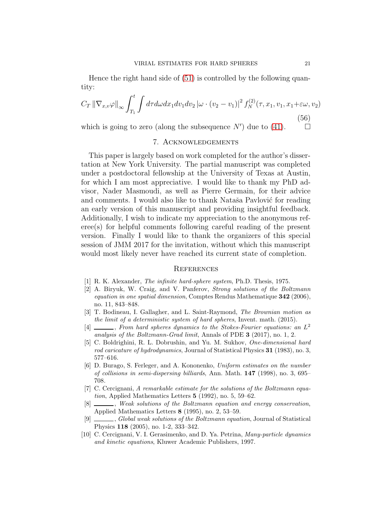Hence the right hand side of [\(51\)](#page-19-0) is controlled by the following quantity:

$$
C_T \left\| \nabla_{x,v} \varphi \right\|_{\infty} \int_{T_1}^t \int d\tau d\omega dx_1 dv_1 dv_2 \left| \omega \cdot (v_2 - v_1) \right|^2 f_N^{(2)}(\tau, x_1, v_1, x_1 + \varepsilon \omega, v_2)
$$
\n(56)

which is going to zero (along the subsequence  $N'$ ) due to [\(41\)](#page-18-0).  $\Box$ 

## 7. Acknowledgements

This paper is largely based on work completed for the author's dissertation at New York University. The partial manuscript was completed under a postdoctoral fellowship at the University of Texas at Austin, for which I am most appreciative. I would like to thank my PhD advisor, Nader Masmoudi, as well as Pierre Germain, for their advice and comments. I would also like to thank Nataša Pavlović for reading an early version of this manuscript and providing insightful feedback. Additionally, I wish to indicate my appreciation to the anonymous referee(s) for helpful comments following careful reading of the present version. Finally I would like to thank the organizers of this special session of JMM 2017 for the invitation, without which this manuscript would most likely never have reached its current state of completion.

#### **REFERENCES**

- <span id="page-20-7"></span>[1] R. K. Alexander, The infinite hard-sphere system, Ph.D. Thesis, 1975.
- <span id="page-20-4"></span>[2] A. Biryuk, W. Craig, and V. Panferov, Strong solutions of the Boltzmann equation in one spatial dimension, Comptes Rendus Mathematique 342 (2006), no. 11, 843–848.
- <span id="page-20-1"></span>[3] T. Bodineau, I. Gallagher, and L. Saint-Raymond, The Brownian motion as the limit of a deterministic system of hard spheres, Invent. math. (2015).
- <span id="page-20-2"></span> $[4]$  \_\_\_\_, From hard spheres dynamics to the Stokes-Fourier equations: an  $L^2$ analysis of the Boltzmann-Grad limit, Annals of PDE 3 (2017), no. 1, 2.
- <span id="page-20-0"></span>[5] C. Boldrighini, R. L. Dobrushin, and Yu. M. Sukhov, One-dimensional hard rod caricature of hydrodynamics, Journal of Statistical Physics 31 (1983), no. 3, 577–616.
- <span id="page-20-3"></span>[6] D. Burago, S. Ferleger, and A. Kononenko, Uniform estimates on the number of collisions in semi-dispersing billiards, Ann. Math. 147 (1998), no. 3, 695– 708.
- <span id="page-20-5"></span>[7] C. Cercignani, A remarkable estimate for the solutions of the Boltzmann equation, Applied Mathematics Letters 5 (1992), no. 5, 59–62.
- [8]  $\_\_\_\_\_\_\_\$ , Weak solutions of the Boltzmann equation and energy conservation, Applied Mathematics Letters 8 (1995), no. 2, 53–59.
- <span id="page-20-6"></span>[9] , Global weak solutions of the Boltzmann equation, Journal of Statistical Physics 118 (2005), no. 1-2, 333–342.
- <span id="page-20-8"></span>[10] C. Cercignani, V. I. Gerasimenko, and D. Ya. Petrina, Many-particle dynamics and kinetic equations, Kluwer Academic Publishers, 1997.